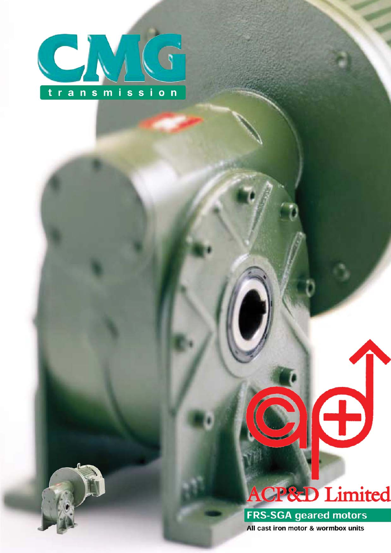

# **P&D** Limited

**FRS-SGA geared motors** All cast iron motor & wormbox units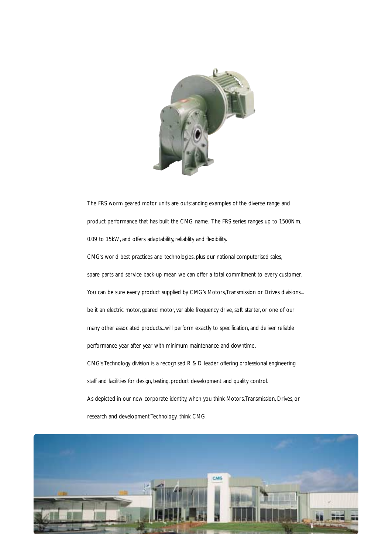

The FRS worm geared motor units are outstanding examples of the diverse range and product performance that has built the CMG name. The FRS series ranges up to 1500Nm, 0.09 to 15kW, and offers adaptability, reliablity and flexibility. CMG's world best practices and technologies, plus our national computerised sales, spare parts and service back-up mean we can offer a total commitment to every customer. You can be sure every product supplied by CMG's Motors, Transmission or Drives divisions... be it an electric motor, geared motor, variable frequency drive, soft starter, or one of our many other associated products...will perform exactly to specification, and deliver reliable performance year after year with minimum maintenance and downtime. CMG's Technology division is a recognised R & D leader offering professional engineering staff and facilities for design, testing, product development and quality control. As depicted in our new corporate identity, when you think Motors,Transmission, Drives, or research and development Technology...think CMG.

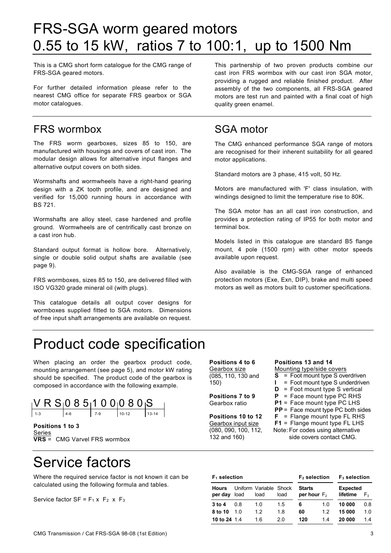# FRS-SGA worm geared motors 0.55 to 15 kW, ratios 7 to 100:1, up to 1500 Nm

This is a CMG short form catalogue for the CMG range of FRS-SGA geared motors.

For further detailed information please refer to the nearest CMG office for separate FRS gearbox or SGA motor catalogues.

### FRS wormbox

The FRS worm gearboxes, sizes 85 to 150, are manufactured with housings and covers of cast iron. The modular design allows for alternative input flanges and alternative output covers on both sides.

Wormshafts and wormwheels have a right-hand gearing design with a ZK tooth profile, and are designed and verified for 15,000 running hours in accordance with BS 721.

Wormshafts are alloy steel, case hardened and profile ground. Wormwheels are of centrifically cast bronze on a cast iron hub.

Standard output format is hollow bore. Alternatively, single or double solid output shafts are available (see page 9).

FRS wormboxes, sizes 85 to 150, are delivered filled with ISO VG320 grade mineral oil (with plugs).

This catalogue details all output cover designs for wormboxes supplied fitted to SGA motors. Dimensions of free input shaft arrangements are available on request.

This partnership of two proven products combine our cast iron FRS wormbox with our cast iron SGA motor, providing a rugged and reliable finished product. After assembly of the two components, all FRS-SGA geared motors are test run and painted with a final coat of high quality green enamel.

### SGA motor

The CMG enhanced performance SGA range of motors are recognised for their inherent suitability for all geared motor applications.

Standard motors are 3 phase, 415 volt, 50 Hz.

Motors are manufactured with 'F' class insulation, with windings designed to limit the temperature rise to 80K.

The SGA motor has an all cast iron construction, and provides a protection rating of IP55 for both motor and terminal box.

Models listed in this catalogue are standard B5 flange mount, 4 pole (1500 rpm) with other motor speeds available upon request.

Also available is the CMG-SGA range of enhanced protection motors (Exe, Exn, DIP), brake and multi speed motors as well as motors built to customer specifications.

# Product code specification

When placing an order the gearbox product code, mounting arrangement (see page 5), and motor kW rating should be specified. The product code of the gearbox is composed in accordance with the following example.



**Positions 1 to 3**  Series **VRS** = CMG Varvel FRS wormbox

# Service factors

Where the required service factor is not known it can be calculated using the following formula and tables.

Service factor  $SF = F_1 \times F_2 \times F_3$ 

**Positions 4 to 6**  Gearbox size (085, 110, 130 and 150)

**Positions 7 to 9**  Gearbox ratio

**Positions 10 to 12**  Gearbox input size (080, 090, 100, 112, 132 and 160)

#### **Positions 13 and 14**

Mounting type/side covers

- **S** = Foot mount type S overdriven
- **I** = Foot mount type S underdriven
- **D** = Foot mount type S vertical
- **P** = Face mount type PC RHS
- **P1** = Face mount type PC LHS
- **PP** = Face mount type PC both sides **F** = Flange mount type FL RHS
- **F1** = Flange mount type FL LHS

Note: For codes using alternative side covers contact CMG.

| $F_1$ selection         |                |                                |      | $F2$ selection                  |     | $F_3$ selection             |     |  |  |  |
|-------------------------|----------------|--------------------------------|------|---------------------------------|-----|-----------------------------|-----|--|--|--|
| <b>Hours</b><br>per day | load           | Uniform Variable Shock<br>load | load | <b>Starts</b><br>per hour $F_2$ |     | <b>Expected</b><br>lifetime | F٩  |  |  |  |
| $3$ to $4$              | 0 8            | 1 O                            | 15   | 6                               | 1 0 | 10 000                      | 0.8 |  |  |  |
| 8 to 10                 | 1 <sub>0</sub> | 12                             | 18   | 60                              | 12  | 15 000                      | 1 0 |  |  |  |
| 10 to 24 1.4            |                | 16                             | 2 በ  | 120                             | 14  | 20 000                      | 14  |  |  |  |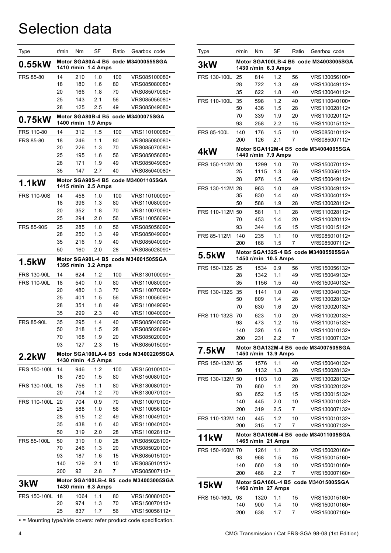# Selection data

| Type               | r/min      | Nm   | SF                            | Ratio | Gearbox code                          |
|--------------------|------------|------|-------------------------------|-------|---------------------------------------|
| 0.55kW             | 1410 r/min |      | Motor SGA80A-4 B5<br>1.4 Amps |       | code M34000555SGA                     |
| FRS 85-80          | 14         | 210  | 1.0                           | 100   | VRS085100080•                         |
|                    | 18         | 180  | 1.6                           | 80    | VRS085080080•                         |
|                    | 20         | 166  | 1.8                           | 70    | VRS085070080•                         |
|                    | 25         | 143  | 2.1                           | 56    | VRS085056080•                         |
|                    | 28         | 125  | 2.5                           | 49    | VRS085049080•                         |
| 0.75kW             | 1400 r/min |      | Motor SGA80B-4 B5<br>1.9 Amps |       | code M3400075SGA                      |
| FRS 110-80         | 14         | 312  | 1.5                           | 100   | VRS110100080•                         |
| <b>FRS 85-80</b>   | 18         | 246  | 1.1                           | 80    | VRS085080080•                         |
|                    | 20         | 226  | 1.3                           | 70    | VRS085070080•                         |
|                    | 25         | 195  | 1.6                           | 56    | VRS085056080•                         |
|                    | 28         | 171  | 1.9                           | 49    | VRS085049080•                         |
|                    | 35         | 147  | 2.7                           | 40    | VRS085040080•                         |
| 1.1kW              | 1415 r/min |      | Motor SGA90S-4 B5<br>2.5 Amps |       | code M34001105SGA                     |
| <b>FRS 110-90S</b> | 14         | 458  | 1.0                           | 100   | VRS110100090•                         |
|                    | 18         | 396  | 1.3                           | 80    | VRS110080090•                         |
|                    | 20         | 352  | 1.8                           | 70    | VRS110070090•                         |
|                    | 25         | 294  | 2.0                           | 56    | VRS110056090•                         |
| <b>FRS 85-90S</b>  | 25         | 285  | 1.0                           | 56    | VRS085056090•                         |
|                    | 28         | 250  | 1.3                           | 49    | VRS085049090•                         |
|                    | 35         | 216  | 1.9                           | 40    | VRS085040090•                         |
|                    | 50         | 160  | 2.0                           | 28    | VRS085028090•                         |
| 1.5kW              | 1395 r/min |      | Motor SGA90L-4 B5<br>3.2 Amps |       | code M34001505SGA                     |
| <b>FRS 130-90L</b> | 14         | 624  | 1.2                           | 100   | VRS130100090•                         |
| <b>FRS 110-90L</b> | 18         | 540  | 1.0                           | 80    | VRS110080090•                         |
|                    | 20         | 480  | 1.3                           | 70    | VRS110070090•                         |
|                    | 25         | 401  | 1.5                           | 56    | VRS110056090•                         |
|                    | 28         | 351  | 1.8                           | 49    | VRS110049090•                         |
|                    | 35         | 299  | 2.3                           | 40    | VRS110040090•                         |
| <b>FRS 85-90L</b>  | 35         | 295  | 1.4                           | 40    | VRS085040090•                         |
|                    | 50         | 218  | 1.5                           | 28    | VRS085028090•                         |
|                    | 70         | 168  | 1.9                           | 20    | VRS085020090·                         |
|                    | 93         | 127  | 2.3                           | 15    | VRS085015090·                         |
| 2.2kW              |            |      | 1430 r/min 4.5 Amps           |       | Motor SGA100LA-4 B5 code M34002205SGA |
| FRS 150-100L       | 14         | 946  | 1.2                           | 100   | VRS150100100·                         |
|                    | 18         | 780  | 1.5                           | 80    | VRS150080100•                         |
| FRS 130-100L       | 18         | 756  | 1.1                           | 80    | VRS130080100•                         |
|                    | 20         | 704  | 1.2                           | 70    | VRS130070100•                         |
| FRS 110-100L       | 20         | 704  | 0.9                           | 70    | VRS110070100•                         |
|                    | 25         | 588  | 1.0                           | 56    | VRS110056100•                         |
|                    | 28         | 515  | 1.2                           | 49    | VRS110049100•                         |
|                    | 35         | 438  | 1.6                           | 40    | VRS110040100•                         |
|                    | 50         | 319  | 2.0                           | 28    | VRS110028112•                         |
| <b>FRS 85-100L</b> | 50         | 319  | 1.0                           | 28    | VRS085028100•                         |
|                    | 70         | 246  | 1.3                           | 20    | VRS085020100•                         |
|                    | 93         | 187  | 1.6                           | 15    | VRS085015100•                         |
|                    | 140        | 129  | 2.1                           | 10    | VRS085010112•                         |
|                    | 200        | 92   | 2.8                           | 7     | VRS085007112•                         |
| 3kW                |            |      | 1430 r/min 6.3 Amps           |       | Motor SGA100LB-4 B5 code M34003005SGA |
| FRS 150-100L       | 18         | 1064 | 1.1                           | 80    | VRS150080100·                         |
|                    | 20         | 974  | 1.3                           | 70    | VRS150070112•                         |
|                    | 25         | 837  | 1.7                           | 56    | VRS150056112•                         |

= Mounting type/side covers: refer product code specification.

| Type               | r/min      | Nm                   | SF               | Ratio    | Gearbox code                          |
|--------------------|------------|----------------------|------------------|----------|---------------------------------------|
| 3kW                |            | 1430 r/min 6.3 Amps  |                  |          | Motor SGA100LB-4 B5 code M34003005SGA |
| FRS 130-100L       | 25         | 814                  | 1.2              | 56       | VRS130056100•                         |
|                    | 28         | 722                  | 1.3              | 49       | VRS130049112•                         |
|                    | 35         | 622                  | 1.8              | 40       | VRS130040112•                         |
| FRS 110-100L       | 35<br>50   | 598<br>436           | 1.2<br>1.5       | 40<br>28 | VRS110040100•<br>VRS110028112•        |
|                    | 70         | 339                  | 1.9              | 20       | VRS110020112•                         |
|                    | 93         | 258                  | 2.2              | 15       | VRS110015112•                         |
| <b>FRS 85-100L</b> | 140        | 176                  | 1.5              | 10       | VRS085010112•                         |
|                    | 200        | 126                  | 2.1              | 7        | VRS085007112•                         |
| 4kW                |            | 1440 r/min 7.9 Amps  |                  |          | Motor SGA112M-4 B5 code M34004005SGA  |
| FRS 150-112M 20    |            | 1299                 | 1.0              | 70       | VRS150070112•                         |
|                    | 25         | 1115                 | 1.3              | 56       | VRS150056112•                         |
|                    | 28         | 976                  | 1.5              | 49       | VRS150049112•                         |
| FRS 130-112M 28    |            | 963                  | 1.0              | 49       | VRS130049112•                         |
|                    | 35         | 830                  | 1.4              | 40       | VRS130040112•                         |
|                    | 50         | 588                  | 1.9              | 28       | VRS130028112•                         |
| FRS 110-112M 50    | 70         | 581<br>453           | 1.1<br>1.4       | 28<br>20 | VRS110028112•<br>VRS110020112•        |
|                    | 93         | 344                  | 1.6              | 15       | VRS110015112•                         |
| FRS 85-112M        | 140        | 235                  | 1.1              | 10       | VRS085010112•                         |
|                    | 200        | 168                  | 1.5              | 7        | VRS085007112•                         |
| 5.5kW              | 1450 r/min |                      | <b>10.5 Amps</b> |          | Motor SGA132S-4 B5 code M34005505SGA  |
| FRS 150-132S       | -25        | 1534                 | 0.9              | 56       | VRS150056132•                         |
|                    | 28         | 1342                 | 1.1              | 49       | VRS150049132•                         |
|                    | 35         | 1156                 | 1.5              | 40       | VRS150040132•                         |
| FRS 130-132S       | 35<br>50   | 1141                 | 1.0<br>1.4       | 40       | VRS130040132•<br>VRS130028132•        |
|                    | 70         | 809<br>630           | 1.6              | 28<br>20 | VRS130020132•                         |
| FRS 110-132S       | 70         | 623                  | 1.0              | 20       | VRS110020132•                         |
|                    | 93         | 473                  | 1.2              | 15       | VRS110015132•                         |
|                    | 140        | 326                  | 1.6              | 10       | VRS110010132•                         |
|                    | 200        | 231                  | 2.2              | 7        | VRS110007132•                         |
| 7.5kW              |            | 1450 r/min 13.9 Amps |                  |          | Motor SGA132M-4 B5 code M34007505SGA  |
| FRS 150-132M       | 35         | 1576                 | 1.1              | 40       | VRS150040132•                         |
|                    | 50         | 1132                 | 1.3              | 28       | VRS150028132•                         |
| FRS 130-132M 50    |            | 1103                 | 1.0              | 28       | VRS130028132•                         |
|                    | 70         | 860                  | 1.1              | 20       | VRS130020132•                         |
|                    | 93         | 652                  | 1.5              | 15       | VRS130015132•<br>VRS130010132•        |
|                    | 140<br>200 | 445<br>319           | 2.0<br>2.5       | 10<br>7  | VRS130007132·                         |
| FRS 110-132M 140   |            | 445                  | 1.2              | 10       | VRS110010132•                         |
|                    | 200        | 315                  | 1.7              | 7        | VRS110007132•                         |
| 11kW               |            |                      |                  |          | Motor SGA160M-4 B5 code M34011005SGA  |
|                    |            | 1465 r/min 21 Amps   |                  |          |                                       |
| FRS 150-160M 70    | 93         | 1261                 | 1.1              | 20<br>15 | VRS150020160•<br>VRS150015160•        |
|                    | 140        | 968<br>660           | 1.5<br>1.9       | 10       | VRS150010160•                         |
|                    | 200        | 468                  | 2.2              | 7        | VRS150007160•                         |
|                    |            |                      |                  |          | Motor SGA160L-4 B5 code M34015005SGA  |
| 15kW               |            | 1460 r/min 27 Amps   |                  |          |                                       |
| FRS 150-160L       | 93         | 1320                 | 1.1              | 15       | VRS150015160•                         |
|                    | 140        | 900<br>638           | 1.4              | 10       | VRS150010160•<br>VRS150007160•        |
|                    | 200        |                      | 1.7              | 7        |                                       |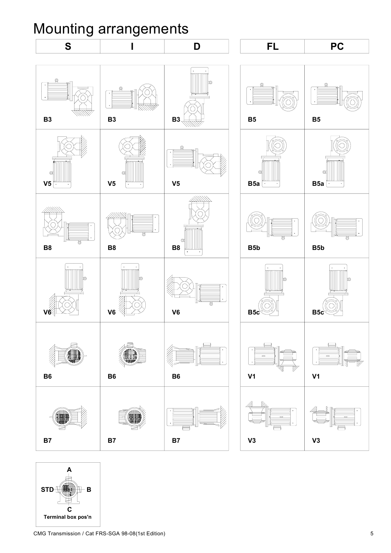# Mounting arrangements



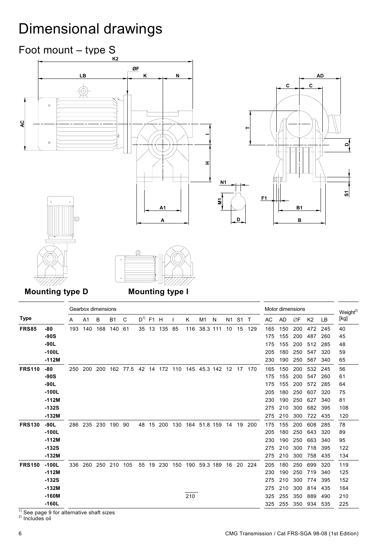# Dimensional drawings







**Mounting type D Mounting type I** 

|               |                    |     | Gearbox dimensions |     |           |      |          |    |           |     |     |              |   |    |                |        | Motor dimensions |            |            |                |            | Weight <sup>2)</sup> |
|---------------|--------------------|-----|--------------------|-----|-----------|------|----------|----|-----------|-----|-----|--------------|---|----|----------------|--------|------------------|------------|------------|----------------|------------|----------------------|
| <b>Type</b>   |                    | А   | A <sub>1</sub>     | B   | <b>B1</b> | C    | $D^{1)}$ | F1 | H         |     | Κ   | M1           | N | N1 | S <sub>1</sub> | $\top$ | AC               | AD         | ØF         | K <sub>2</sub> | LB         | [kg]                 |
| <b>FRS85</b>  | $-80$              | 193 | 140                | 168 | 140       | 61   | 35       | 13 | 135       | 85  | 116 | 38.3 111     |   | 10 | 15             | 129    | 165              | 150        | 200        | 472            | 245        | 40                   |
|               | $-90S$             |     |                    |     |           |      |          |    |           |     |     |              |   |    |                |        | 175              | 155        | 200        | 487            | 260        | 45                   |
|               | $-90L$             |     |                    |     |           |      |          |    |           |     |     |              |   |    |                |        | 175              | 155        | 200        | 512            | 285        | 48                   |
|               | $-100L$            |     |                    |     |           |      |          |    |           |     |     |              |   |    |                |        | 205              | 180        | 250        | 547            | 320        | 59                   |
|               | $-112M$            |     |                    |     |           |      |          |    |           |     |     |              |   |    |                |        | 230              | 190        | 250        | 567            | 340        | 65                   |
| <b>FRS110</b> | -80                | 250 | 200                | 200 | 162       | 77.5 |          |    | 42 14 172 | 110 |     | 145 45.3 142 |   |    | 12 17          | 170    | 165              | 150        | 200        | 532            | 245        | 56                   |
|               | $-90S$             |     |                    |     |           |      |          |    |           |     |     |              |   |    |                |        | 175              | 155        | 200        | 547            | 260        | 61                   |
|               | $-90L$             |     |                    |     |           |      |          |    |           |     |     |              |   |    |                |        | 175              | 155        | 200        | 572            | 285        | 64                   |
|               | $-100L$            |     |                    |     |           |      |          |    |           |     |     |              |   |    |                |        | 205              | 180        | 250        | 607            | 320        | 75                   |
|               | $-112M$            |     |                    |     |           |      |          |    |           |     |     |              |   |    |                |        | 230              | 190        | 250        | 627            | 340        | 81                   |
|               | $-132S$<br>$-132M$ |     |                    |     |           |      |          |    |           |     |     |              |   |    |                |        | 275              | 210        | 300        | 682            | 395        | 108                  |
|               |                    |     |                    |     |           |      |          |    |           |     |     |              |   |    |                |        | 275              | 210        | 300        | 722            | 435        | 120                  |
| <b>FRS130</b> | $-90L$<br>$-100L$  | 286 | 235                | 230 | 190       | -90  | 48       | 15 | 200       | 130 | 164 | 51.8 159     |   | 14 | 19             | 200    | 175<br>205       | 155<br>180 | 200<br>250 | 608<br>643     | 285<br>320 | 78                   |
|               | $-112M$            |     |                    |     |           |      |          |    |           |     |     |              |   |    |                |        | 230              | 190        | 250        | 663            | 340        | 89<br>95             |
|               | $-132S$            |     |                    |     |           |      |          |    |           |     |     |              |   |    |                |        | 275              | 210        | 300        | 718            | 395        | 122                  |
|               | $-132M$            |     |                    |     |           |      |          |    |           |     |     |              |   |    |                |        | 275              | 210        | 300        | 758            | 435        | 134                  |
| <b>FRS150</b> | $-100L$            | 336 | 260                | 250 | 210       | 105  | 55       | 19 | 230       | 150 | 190 | 59.3 189     |   | 16 | 20             | 224    | 205              | 180        | 250        | 699            | 320        | 119                  |
|               | $-112M$            |     |                    |     |           |      |          |    |           |     |     |              |   |    |                |        | 230              | 190        | 250        | 719            | 340        | 125                  |
|               | $-132S$            |     |                    |     |           |      |          |    |           |     |     |              |   |    |                |        | 275              | 210        | 300        | 774            | 395        | 152                  |
|               | $-132M$            |     |                    |     |           |      |          |    |           |     |     |              |   |    |                |        | 275              | 210        | 300        | 814            | 435        | 164                  |
|               | $-160M$            |     |                    |     |           |      |          |    |           |     | 210 |              |   |    |                |        | 325              | 255        | 350        | 889            | 490        | 210                  |
|               | $-160L$            |     |                    |     |           |      |          |    |           |     |     |              |   |    |                |        | 325              | 255        | 350        | 934            | 535        | 225                  |

 $1)$  See page 9 for alternative shaft sizes

2) Includes oil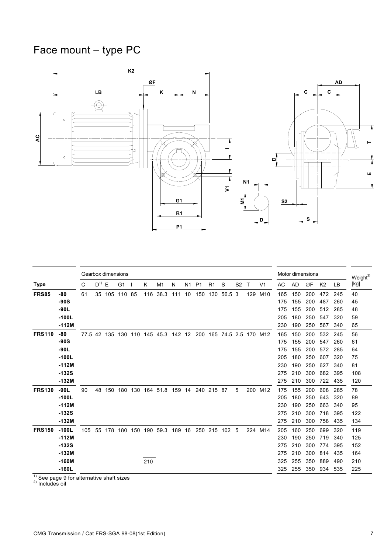# Face mount – type PC



|               |         |     | Gearbox dimensions |               |                |     |     |                                     |        |    |                |            |                          |                |              |                |     | Motor dimensions |     |                |     | Weight <sup>2)</sup> |
|---------------|---------|-----|--------------------|---------------|----------------|-----|-----|-------------------------------------|--------|----|----------------|------------|--------------------------|----------------|--------------|----------------|-----|------------------|-----|----------------|-----|----------------------|
| <b>Type</b>   |         | C   | $D^{1)} E$         |               | G <sub>1</sub> | - 1 | K   | M1                                  | N      | N1 | P <sub>1</sub> | R1         | S                        | S <sub>2</sub> | $\mathsf{T}$ | V <sub>1</sub> | AC  | <b>AD</b>        | ØF  | K <sub>2</sub> | LB  | [kg]                 |
| <b>FRS85</b>  | -80     | 61  |                    | 35 105 110 85 |                |     | 116 | 38.3                                | 111 10 |    | 150            | 130        | 56.5 3                   |                | 129          | M10            | 165 | 150              | 200 | 472            | 245 | 40                   |
|               | $-90S$  |     |                    |               |                |     |     |                                     |        |    |                |            |                          |                |              |                | 175 | 155              | 200 | 487            | 260 | 45                   |
|               | $-90L$  |     |                    |               |                |     |     |                                     |        |    |                |            |                          |                |              |                | 175 | 155              | 200 | 512            | 285 | 48                   |
|               | $-100L$ |     |                    |               |                |     |     |                                     |        |    |                |            |                          |                |              |                | 205 | 180              | 250 | 547            | 320 | 59                   |
|               | $-112M$ |     |                    |               |                |     |     |                                     |        |    |                |            |                          |                |              |                | 230 | 190              | 250 | 567            | 340 | 65                   |
| <b>FRS110</b> | $-80$   |     |                    |               |                |     |     | 77.5 42 135 130 110 145 45.3 142 12 |        |    |                |            | 200 165 74.5 2.5 170 M12 |                |              |                | 165 | 150              | 200 | 532            | 245 | 56                   |
|               | $-90S$  |     |                    |               |                |     |     |                                     |        |    |                |            |                          |                |              |                | 175 | 155              | 200 | 547            | 260 | 61                   |
|               | $-90L$  |     |                    |               |                |     |     |                                     |        |    |                |            |                          |                |              |                | 175 | 155              | 200 | 572            | 285 | 64                   |
|               | $-100L$ |     |                    |               |                |     |     |                                     |        |    |                |            |                          |                |              |                | 205 | 180              | 250 | 607            | 320 | 75                   |
|               | $-112M$ |     |                    |               |                |     |     |                                     |        |    |                |            |                          |                |              |                | 230 | 190              | 250 | 627            | 340 | 81                   |
|               | $-132S$ |     |                    |               |                |     |     |                                     |        |    |                |            |                          |                |              |                | 275 | 210              | 300 | 682            | 395 | 108                  |
|               | $-132M$ |     |                    |               |                |     |     |                                     |        |    |                |            |                          |                |              |                | 275 | 210              | 300 | 722            | 435 | 120                  |
| <b>FRS130</b> | $-90L$  | 90  |                    | 48 150 180    |                | 130 |     | 164 51.8                            | 159    | 14 |                | 240 215 87 |                          | 5              | 200          | M12            | 175 | 155              | 200 | 608            | 285 | 78                   |
|               | $-100L$ |     |                    |               |                |     |     |                                     |        |    |                |            |                          |                |              |                | 205 | 180              | 250 | 643            | 320 | 89                   |
|               | $-112M$ |     |                    |               |                |     |     |                                     |        |    |                |            |                          |                |              |                | 230 | 190              | 250 | 663            | 340 | 95                   |
|               | $-132S$ |     |                    |               |                |     |     |                                     |        |    |                |            |                          |                |              |                | 275 | 210              | 300 | 718            | 395 | 122                  |
|               | $-132M$ |     |                    |               |                |     |     |                                     |        |    |                |            |                          |                |              |                | 275 | 210              | 300 | 758            | 435 | 134                  |
| <b>FRS150</b> | $-100L$ | 105 | 55                 | 178           | 180            | 150 | 190 | 59.3                                | 189    | 16 |                |            | 250 215 102 5            |                |              | 224 M14        | 205 | 160              | 250 | 699            | 320 | 119                  |
|               | $-112M$ |     |                    |               |                |     |     |                                     |        |    |                |            |                          |                |              |                | 230 | 190              | 250 | 719            | 340 | 125                  |
|               | $-132S$ |     |                    |               |                |     |     |                                     |        |    |                |            |                          |                |              |                | 275 | 210              | 300 | 774            | 395 | 152                  |
|               | $-132M$ |     |                    |               |                |     |     |                                     |        |    |                |            |                          |                |              |                | 275 | 210              | 300 | 814            | 435 | 164                  |
|               | $-160M$ |     |                    |               |                |     | 210 |                                     |        |    |                |            |                          |                |              |                | 325 | 255              | 350 | 889            | 490 | 210                  |
|               | $-160L$ |     |                    |               |                |     |     |                                     |        |    |                |            |                          |                |              |                | 325 | 255              | 350 | 934            | 535 | 225                  |

 $1)$  See page 9 for alternative shaft sizes

2) Includes oil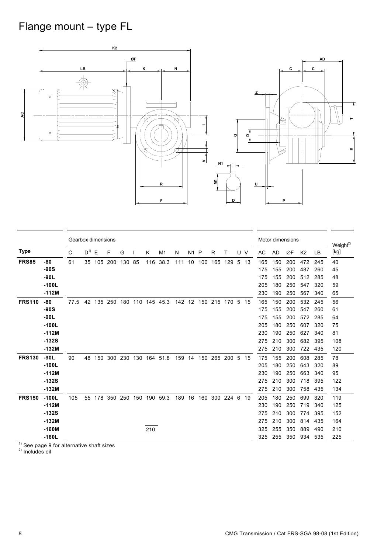# Flange mount – type FL



|               |         |      | Gearbox dimensions |     |     |     |     |     |          |     |    |     |     |      |    |     | Motor dimensions |           |     |                |     |                              |
|---------------|---------|------|--------------------|-----|-----|-----|-----|-----|----------|-----|----|-----|-----|------|----|-----|------------------|-----------|-----|----------------|-----|------------------------------|
| <b>Type</b>   |         | C    | $D^{1)}$           | E   | F   | G   |     | K   | M1       | N   | N1 | P   | R   | т    |    | U V | AC               | <b>AD</b> | ØF  | K <sub>2</sub> | LB  | Weight <sup>2)</sup><br>[kg] |
| <b>FRS85</b>  | -80     | 61   | 35                 | 105 | 200 | 130 | 85  | 116 | 38.3     | 111 | 10 | 100 | 165 | 129  | 5  | 13  | 165              | 150       | 200 | 472            | 245 | 40                           |
|               | $-90S$  |      |                    |     |     |     |     |     |          |     |    |     |     |      |    |     | 175              | 155       | 200 | 487            | 260 | 45                           |
|               | $-90L$  |      |                    |     |     |     |     |     |          |     |    |     |     |      |    |     | 175              | 155       | 200 | 512            | 285 | 48                           |
|               | $-100L$ |      |                    |     |     |     |     |     |          |     |    |     |     |      |    |     | 205              | 180       | 250 | 547            | 320 | 59                           |
|               | $-112M$ |      |                    |     |     |     |     |     |          |     |    |     |     |      |    |     | 230              | 190       | 250 | 567            | 340 | 65                           |
| <b>FRS110</b> | -80     | 77.5 | 42                 | 135 | 250 | 180 | 110 |     | 145 45.3 | 142 | 12 | 150 | 215 | 170  | -5 | 15  | 165              | 150       | 200 | 532            | 245 | 56                           |
|               | $-90S$  |      |                    |     |     |     |     |     |          |     |    |     |     |      |    |     | 175              | 155       | 200 | 547            | 260 | 61                           |
|               | $-90L$  |      |                    |     |     |     |     |     |          |     |    |     |     |      |    |     | 175              | 155       | 200 | 572            | 285 | 64                           |
|               | $-100L$ |      |                    |     |     |     |     |     |          |     |    |     |     |      |    |     | 205              | 180       | 250 | 607            | 320 | 75                           |
|               | $-112M$ |      |                    |     |     |     |     |     |          |     |    |     |     |      |    |     | 230              | 190       | 250 | 627            | 340 | 81                           |
|               | $-132S$ |      |                    |     |     |     |     |     |          |     |    |     |     |      |    |     | 275              | 210       | 300 | 682            | 395 | 108                          |
|               | $-132M$ |      |                    |     |     |     |     |     |          |     |    |     |     |      |    |     | 275              | 210       | 300 | 722            | 435 | 120                          |
| <b>FRS130</b> | $-90L$  | 90   | 48                 | 150 | 300 | 230 | 130 | 164 | 51.8     | 159 | 14 | 150 | 265 | 200  | 5  | 15  | 175              | 155       | 200 | 608            | 285 | 78                           |
|               | $-100L$ |      |                    |     |     |     |     |     |          |     |    |     |     |      |    |     | 205              | 180       | 250 | 643            | 320 | 89                           |
|               | $-112M$ |      |                    |     |     |     |     |     |          |     |    |     |     |      |    |     | 230              | 190       | 250 | 663            | 340 | 95                           |
|               | $-132S$ |      |                    |     |     |     |     |     |          |     |    |     |     |      |    |     | 275              | 210       | 300 | 718            | 395 | 122                          |
|               | $-132M$ |      |                    |     |     |     |     |     |          |     |    |     |     |      |    |     | 275              | 210       | 300 | 758            | 435 | 134                          |
| <b>FRS150</b> | $-100L$ | 105  | 55                 | 178 | 350 | 250 | 150 | 190 | 59.3     | 189 | 16 | 160 | 300 | 2246 |    | 19  | 205              | 180       | 250 | 699            | 320 | 119                          |
|               | $-112M$ |      |                    |     |     |     |     |     |          |     |    |     |     |      |    |     | 230              | 190       | 250 | 719            | 340 | 125                          |
|               | $-132S$ |      |                    |     |     |     |     |     |          |     |    |     |     |      |    |     | 275              | 210       | 300 | 774            | 395 | 152                          |
|               | $-132M$ |      |                    |     |     |     |     |     |          |     |    |     |     |      |    |     | 275              | 210       | 300 | 814            | 435 | 164                          |
|               | $-160M$ |      |                    |     |     |     |     | 210 |          |     |    |     |     |      |    |     | 325              | 255       | 350 | 889            | 490 | 210                          |
|               | $-160L$ |      |                    |     |     |     |     |     |          |     |    |     |     |      |    |     | 325              | 255       | 350 | 934            | 535 | 225                          |

 $1)$  See page 9 for alternative shaft sizes

2) Includes oil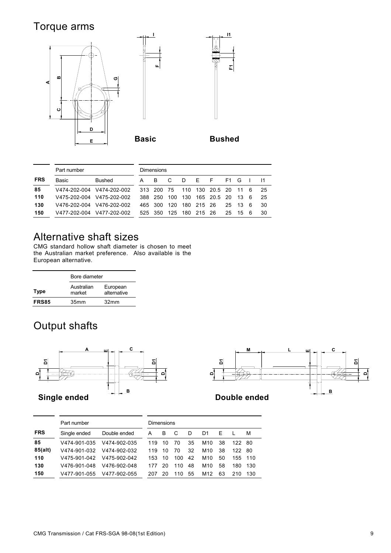### Torque arms



|            | Part number |                           | Dimensions   |      |     |            |                      |        |       |     |     |
|------------|-------------|---------------------------|--------------|------|-----|------------|----------------------|--------|-------|-----|-----|
| <b>FRS</b> | Basic       | Bushed                    | <sub>B</sub> | C.   | D   | $F-F$      |                      | $F1$ G |       |     |     |
| 85         |             | V474-202-004 V474-202-002 | 313 200 75   |      |     |            | 110 130 20.5 20 11 6 |        |       |     | -25 |
| 110        |             | V475-202-004 V475-202-002 | 388 250      | 100  | 130 |            | 165 20.5 20 13       |        |       | - 6 | 25  |
| 130        |             | V476-202-004 V476-202-002 | 465 300      | 120  |     | 180 215 26 |                      |        | 25 13 | - 6 | 30  |
| 150        |             | V477-202-004 V477-202-002 | 525 350      | -125 | 180 | 215 26     |                      |        | 25 15 | - 6 | 30  |

### Alternative shaft sizes

CMG standard hollow shaft diameter is chosen to meet the Australian market preference. Also available is the European alternative.

| Bore diameter        |                         |
|----------------------|-------------------------|
| Australian<br>market | European<br>alternative |
| 35 <sub>mm</sub>     | 32 <sub>mm</sub>        |
|                      |                         |

### Output shafts





|            | Part number  |              |     | Dimensions |     |    |     |    |        |      |
|------------|--------------|--------------|-----|------------|-----|----|-----|----|--------|------|
| <b>FRS</b> | Single ended | Double ended | A   | B          |     | D  | D1  | F. |        | M    |
| 85         | V474-901-035 | V474-902-035 | 119 | 10         | 70  | 35 | M10 | 38 | 122 80 |      |
| 85(alt)    | V474-901-032 | V474-902-032 | 119 | 10         | 70  | 32 | M10 | 38 | 122.   | - 80 |
| 110        | V475-901-042 | V475-902-042 | 153 | 10         | 100 | 42 | M10 | 50 | 155    | 110  |
| 130        | V476-901-048 | V476-902-048 | 177 | 20         | 110 | 48 | M10 | 58 | 180    | 130  |
| 150        | V477-901-055 | V477-902-055 | 207 | 20         | 110 | 55 | M12 | 63 | 210    | 130  |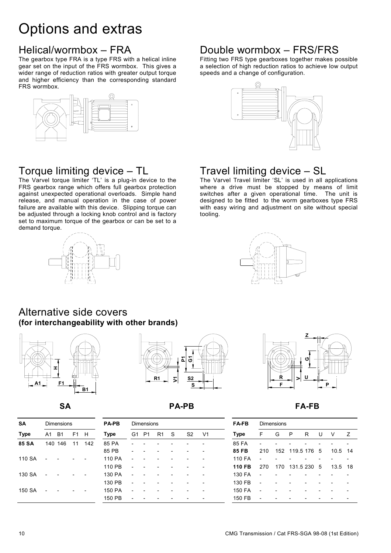# Options and extras

### Helical/wormbox – FRA

The gearbox type FRA is a type FRS with a helical inline gear set on the input of the FRS wormbox. This gives a wider range of reduction ratios with greater output torque and higher efficiency than the corresponding standard FRS wormbox.



### Torque limiting device – TL

The Varvel torque limiter 'TL' is a plug-in device to the FRS gearbox range which offers full gearbox protection against unexpected operational overloads. Simple hand release, and manual operation in the case of power failure are available with this device. Slipping torque can be adjusted through a locking knob control and is factory set to maximum torque of the gearbox or can be set to a demand torque.

**(for interchangeability with other brands)** 



Alternative side covers

**B1**



#### **SA PA-PB FA-FB**

| SΑ     |    | <b>Dimensions</b> |                |                          | <b>PA-PB</b> |    | <b>Dimensions</b> |                |   |                |                | <b>FA-FB</b> |                          | <b>Dimensions</b> |                 |    |    |         |   |
|--------|----|-------------------|----------------|--------------------------|--------------|----|-------------------|----------------|---|----------------|----------------|--------------|--------------------------|-------------------|-----------------|----|----|---------|---|
| Type   | A1 | B1                | F <sub>1</sub> | H                        | Type         | G1 | P1                | R <sub>1</sub> | S | S <sub>2</sub> | V <sub>1</sub> | <b>Type</b>  | F                        | G                 | P               | R. | U  | V       | 7 |
| 85 SA  |    | 140 146           | 11             | 142                      | 85 PA        |    |                   |                |   |                |                | 85 FA        |                          |                   |                 |    |    |         |   |
|        |    |                   |                |                          | 85 PB        |    |                   |                |   |                |                | 85 FB        | 210                      |                   | 152 119.5 176 5 |    |    | 10.5 14 |   |
| 110 SA |    |                   |                | $\overline{\phantom{a}}$ | 110 PA       |    |                   |                |   |                |                | 110 FA       |                          |                   |                 |    |    |         |   |
|        |    |                   |                |                          | 110 PB       |    |                   |                |   |                |                | 110 FB       | 270                      | 170               | 131.5 230       |    | -5 | 13.5 18 |   |
| 130 SA |    |                   |                | $\overline{\phantom{a}}$ | 130 PA       |    |                   |                |   |                |                | 130 FA       |                          |                   |                 |    |    |         |   |
|        |    |                   |                |                          | 130 PB       |    |                   |                |   |                |                | 130 FB       | $\overline{\phantom{a}}$ |                   |                 |    |    |         |   |
| 150 SA |    |                   |                | $\overline{\phantom{a}}$ | 150 PA       |    |                   |                |   |                |                | 150 FA       | $\overline{\phantom{0}}$ |                   |                 |    |    |         |   |
|        |    |                   |                |                          | 150 PB       |    |                   |                |   |                |                | 150 FB       | $\overline{\phantom{0}}$ |                   |                 |    |    |         |   |

### Double wormbox – FRS/FRS

Fitting two FRS type gearboxes together makes possible a selection of high reduction ratios to achieve low output speeds and a change of configuration.



### Travel limiting device – SL

The Varvel Travel limiter 'SL' is used in all applications where a drive must be stopped by means of limit switches after a given operational time. The unit is designed to be fitted to the worm gearboxes type FRS with easy wiring and adjustment on site without special tooling.





| <b>FA-FB</b> | Dimensions |   |                 |   |   |      |                |  |  |  |  |  |  |
|--------------|------------|---|-----------------|---|---|------|----------------|--|--|--|--|--|--|
| Type         | F          | G | P               | R | U | V    | $\overline{z}$ |  |  |  |  |  |  |
| 85 FA        |            |   |                 |   |   |      |                |  |  |  |  |  |  |
| 85 FB        | 210        |   | 152 119.5 176 5 |   |   | 10.5 | 14             |  |  |  |  |  |  |
| 110 FA       |            |   |                 |   |   |      |                |  |  |  |  |  |  |
| 110 FB       | 270        |   | 170 131.5 230 5 |   |   | 13.5 | 18             |  |  |  |  |  |  |
| 130 FA       |            |   |                 |   |   |      |                |  |  |  |  |  |  |
| 130 FB       |            |   |                 |   |   |      |                |  |  |  |  |  |  |
| 150 FA       |            |   |                 |   |   |      |                |  |  |  |  |  |  |
| 150 FB       |            |   |                 |   |   |      |                |  |  |  |  |  |  |

**A1 F1**

**H**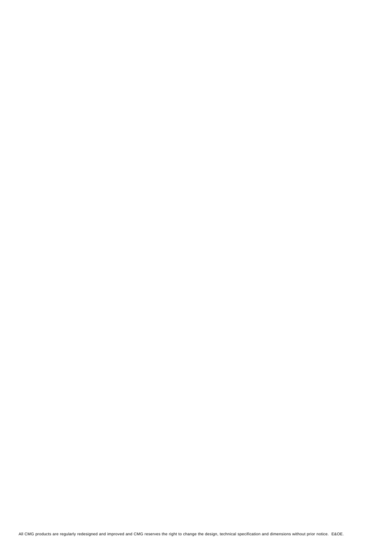All CMG products are regularly redesigned and improved and CMG reserves the right to change the design, technical specification and dimensions without prior notice. E&OE.